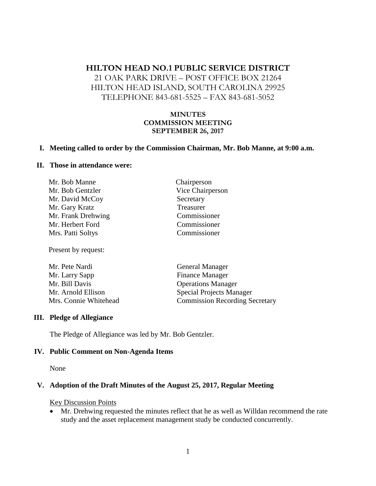# **HILTON HEAD NO.1 PUBLIC SERVICE DISTRICT** 21 OAK PARK DRIVE – POST OFFICE BOX 21264 HILTON HEAD ISLAND, SOUTH CAROLINA 29925 TELEPHONE 843-681-5525 – FAX 843-681-5052

### **MINUTES COMMISSION MEETING SEPTEMBER 26, 2017**

### **I. Meeting called to order by the Commission Chairman, Mr. Bob Manne, at 9:00 a.m.**

#### **II. Those in attendance were:**

| Mr. Bob Manne      | Chairperson      |
|--------------------|------------------|
| Mr. Bob Gentzler   | Vice Chairperson |
| Mr. David McCoy    | Secretary        |
| Mr. Gary Kratz     | Treasurer        |
| Mr. Frank Drehwing | Commissioner     |
| Mr. Herbert Ford   | Commissioner     |
| Mrs. Patti Soltys  | Commissioner     |
|                    |                  |

Present by request:

| Mr. Pete Nardi        | <b>General Manager</b>                |
|-----------------------|---------------------------------------|
| Mr. Larry Sapp        | <b>Finance Manager</b>                |
| Mr. Bill Davis        | <b>Operations Manager</b>             |
| Mr. Arnold Ellison    | <b>Special Projects Manager</b>       |
| Mrs. Connie Whitehead | <b>Commission Recording Secretary</b> |

### **III. Pledge of Allegiance**

The Pledge of Allegiance was led by Mr. Bob Gentzler.

### **IV. Public Comment on Non-Agenda Items**

None

### **V. Adoption of the Draft Minutes of the August 25, 2017, Regular Meeting**

Key Discussion Points

• Mr. Drehwing requested the minutes reflect that he as well as Willdan recommend the rate study and the asset replacement management study be conducted concurrently.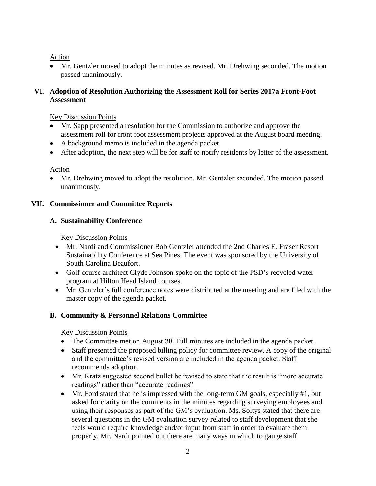Action

• Mr. Gentzler moved to adopt the minutes as revised. Mr. Drehwing seconded. The motion passed unanimously.

### **VI. Adoption of Resolution Authorizing the Assessment Roll for Series 2017a Front-Foot Assessment**

# Key Discussion Points

- Mr. Sapp presented a resolution for the Commission to authorize and approve the assessment roll for front foot assessment projects approved at the August board meeting.
- A background memo is included in the agenda packet.
- After adoption, the next step will be for staff to notify residents by letter of the assessment.

# Action

• Mr. Drehwing moved to adopt the resolution. Mr. Gentzler seconded. The motion passed unanimously.

### **VII. Commissioner and Committee Reports**

### **A. Sustainability Conference**

Key Discussion Points

- Mr. Nardi and Commissioner Bob Gentzler attended the 2nd Charles E. Fraser Resort Sustainability Conference at Sea Pines. The event was sponsored by the University of South Carolina Beaufort.
- Golf course architect Clyde Johnson spoke on the topic of the PSD's recycled water program at Hilton Head Island courses.
- Mr. Gentzler's full conference notes were distributed at the meeting and are filed with the master copy of the agenda packet.

# **B. Community & Personnel Relations Committee**

Key Discussion Points

- The Committee met on August 30. Full minutes are included in the agenda packet.
- Staff presented the proposed billing policy for committee review. A copy of the original and the committee's revised version are included in the agenda packet. Staff recommends adoption.
- Mr. Kratz suggested second bullet be revised to state that the result is "more accurate" readings" rather than "accurate readings".
- Mr. Ford stated that he is impressed with the long-term GM goals, especially #1, but asked for clarity on the comments in the minutes regarding surveying employees and using their responses as part of the GM's evaluation. Ms. Soltys stated that there are several questions in the GM evaluation survey related to staff development that she feels would require knowledge and/or input from staff in order to evaluate them properly. Mr. Nardi pointed out there are many ways in which to gauge staff